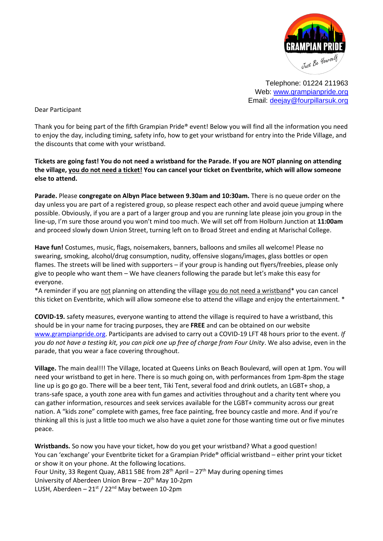

Telephone: 01224 211963 Web: [www.grampianpride.org](http://www.grampianpride.org/) Email: [deejay@fourpillarsuk.org](mailto:deejay@fourpillarsuk.org)

Dear Participant

Thank you for being part of the fifth Grampian Pride® event! Below you will find all the information you need to enjoy the day, including timing, safety info, how to get your wristband for entry into the Pride Village, and the discounts that come with your wristband.

**Tickets are going fast! You do not need a wristband for the Parade. If you are NOT planning on attending the village, you do not need a ticket! You can cancel your ticket on Eventbrite, which will allow someone else to attend.** 

**Parade.** Please **congregate on Albyn Place between 9.30am and 10:30am.** There is no queue order on the day unless you are part of a registered group, so please respect each other and avoid queue jumping where possible. Obviously, if you are a part of a larger group and you are running late please join you group in the line-up, I'm sure those around you won't mind too much. We will set off from Holburn Junction at **11:00am** and proceed slowly down Union Street, turning left on to Broad Street and ending at Marischal College.

**Have fun!** Costumes, music, flags, noisemakers, banners, balloons and smiles all welcome! Please no swearing, smoking, alcohol/drug consumption, nudity, offensive slogans/images, glass bottles or open flames. The streets will be lined with supporters – if your group is handing out flyers/freebies, please only give to people who want them – We have cleaners following the parade but let's make this easy for everyone.

\*A reminder if you are not planning on attending the village you do not need a wristband\* you can cancel this ticket on Eventbrite, which will allow someone else to attend the village and enjoy the entertainment. \*

**COVID-19.** safety measures, everyone wanting to attend the village is required to have a wristband, this should be in your name for tracing purposes, they are **FREE** and can be obtained on our website [www.grampianpride.org.](http://www.grampianpride.org/) Participants are advised to carry out a COVID-19 LFT 48 hours prior to the event. *If you do not have a testing kit, you can pick one up free of charge from Four Unity*. We also advise, even in the parade, that you wear a face covering throughout.

**Village.** The main deal!!! The Village, located at Queens Links on Beach Boulevard, will open at 1pm. You will need your wristband to get in here. There is so much going on, with performances from 1pm-8pm the stage line up is go go go. There will be a beer tent, Tiki Tent, several food and drink outlets, an LGBT+ shop, a trans-safe space, a youth zone area with fun games and activities throughout and a charity tent where you can gather information, resources and seek services available for the LGBT+ community across our great nation. A "kids zone" complete with games, free face painting, free bouncy castle and more. And if you're thinking all this is just a little too much we also have a quiet zone for those wanting time out or five minutes peace.

**Wristbands.** So now you have your ticket, how do you get your wristband? What a good question! You can 'exchange' your Eventbrite ticket for a Grampian Pride® official wristband – either print your ticket or show it on your phone. At the following locations. Four Unity, 33 Regent Quay, AB11 5BE from  $28<sup>th</sup>$  April –  $27<sup>th</sup>$  May during opening times University of Aberdeen Union Brew  $-20<sup>th</sup>$  May 10-2pm LUSH, Aberdeen  $-21^{st}$  / 22<sup>nd</sup> May between 10-2pm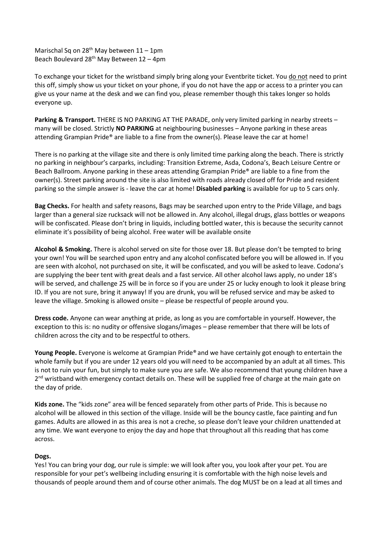Marischal Sq on 28<sup>th</sup> May between  $11 - 1$ pm Beach Boulevard  $28<sup>th</sup>$  May Between 12 – 4pm

To exchange your ticket for the wristband simply bring along your Eventbrite ticket. You do not need to print this off, simply show us your ticket on your phone, if you do not have the app or access to a printer you can give us your name at the desk and we can find you, please remember though this takes longer so holds everyone up.

**Parking & Transport.** THERE IS NO PARKING AT THE PARADE, only very limited parking in nearby streets – many will be closed. Strictly **NO PARKING** at neighbouring businesses – Anyone parking in these areas attending Grampian Pride® are liable to a fine from the owner(s). Please leave the car at home!

There is no parking at the village site and there is only limited time parking along the beach. There is strictly no parking in neighbour's carparks, including: Transition Extreme, Asda, Codona's, Beach Leisure Centre or Beach Ballroom. Anyone parking in these areas attending Grampian Pride® are liable to a fine from the owner(s). Street parking around the site is also limited with roads already closed off for Pride and resident parking so the simple answer is - leave the car at home! **Disabled parking** is available for up to 5 cars only.

**Bag Checks.** For health and safety reasons, Bags may be searched upon entry to the Pride Village, and bags larger than a general size rucksack will not be allowed in. Any alcohol, illegal drugs, glass bottles or weapons will be confiscated. Please don't bring in liquids, including bottled water, this is because the security cannot eliminate it's possibility of being alcohol. Free water will be available onsite

**Alcohol & Smoking.** There is alcohol served on site for those over 18. But please don't be tempted to bring your own! You will be searched upon entry and any alcohol confiscated before you will be allowed in. If you are seen with alcohol, not purchased on site, it will be confiscated, and you will be asked to leave. Codona's are supplying the beer tent with great deals and a fast service. All other alcohol laws apply, no under 18's will be served, and challenge 25 will be in force so if you are under 25 or lucky enough to look it please bring ID. If you are not sure, bring it anyway! If you are drunk, you will be refused service and may be asked to leave the village. Smoking is allowed onsite – please be respectful of people around you.

**Dress code.** Anyone can wear anything at pride, as long as you are comfortable in yourself. However, the exception to this is: no nudity or offensive slogans/images – please remember that there will be lots of children across the city and to be respectful to others.

**Young People.** Everyone is welcome at Grampian Pride® and we have certainly got enough to entertain the whole family but if you are under 12 years old you will need to be accompanied by an adult at all times. This is not to ruin your fun, but simply to make sure you are safe. We also recommend that young children have a 2<sup>nd</sup> wristband with emergency contact details on. These will be supplied free of charge at the main gate on the day of pride.

**Kids zone.** The "kids zone" area will be fenced separately from other parts of Pride. This is because no alcohol will be allowed in this section of the village. Inside will be the bouncy castle, face painting and fun games. Adults are allowed in as this area is not a creche, so please don't leave your children unattended at any time. We want everyone to enjoy the day and hope that throughout all this reading that has come across.

## **Dogs.**

Yes! You can bring your dog, our rule is simple: we will look after you, you look after your pet. You are responsible for your pet's wellbeing including ensuring it is comfortable with the high noise levels and thousands of people around them and of course other animals. The dog MUST be on a lead at all times and